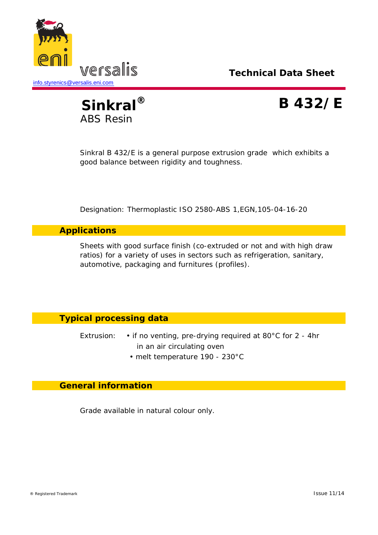



Sinkral B 432/E is a general purpose extrusion grade which exhibits a good balance between rigidity and toughness.

Designation: Thermoplastic ISO 2580-ABS 1,EGN,105-04-16-20

### **Applications**

Sheets with good surface finish (co-extruded or not and with high draw ratios) for a variety of uses in sectors such as refrigeration, sanitary, automotive, packaging and furnitures (profiles).

## **Typical processing data**

- Extrusion: if no venting, pre-drying required at 80°C for 2 4hr in an air circulating oven
	- melt temperature 190 230°C

### **General information**

Grade available in natural colour only.